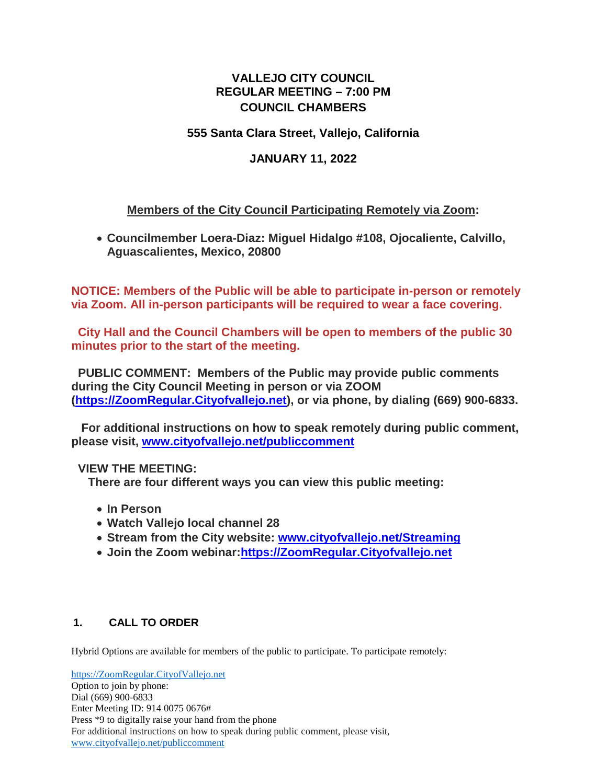# **VALLEJO CITY COUNCIL REGULAR MEETING – 7:00 PM COUNCIL CHAMBERS**

## **555 Santa Clara Street, Vallejo, California**

# **JANUARY 11, 2022**

# **Members of the City Council Participating Remotely via Zoom:**

• **Councilmember Loera-Diaz: Miguel Hidalgo #108, Ojocaliente, Calvillo, Aguascalientes, Mexico, 20800**

**NOTICE: Members of the Public will be able to participate in-person or remotely via Zoom. All in-person participants will be required to wear a face covering.**

**City Hall and the Council Chambers will be open to members of the public 30 minutes prior to the start of the meeting.**

**PUBLIC COMMENT: Members of the Public may provide public comments during the City Council Meeting in person or via ZOOM [\(https://ZoomRegular.Cityofvallejo.net\)](https://zoomregular.cityofvallejo.net/), or via phone, by dialing (669) 900-6833.**

**For additional instructions on how to speak remotely during public comment, please visit, [www.cityofvallejo.net/publiccomment](http://www.cityofvallejo.net/publiccomment)**

## **VIEW THE MEETING:**

**There are four different ways you can view this public meeting:**

- **In Person**
- **Watch Vallejo local channel 28**
- **Stream from the City website: [www.cityofvallejo.net/Streaming](https://www.cityofvallejo.net/Streaming)**
- **Join the Zoom webinar[:https://ZoomRegular.Cityofvallejo.net](https://zoomregular.cityofvallejo.net/)**

## **1. CALL TO ORDER**

Hybrid Options are available for members of the public to participate. To participate remotely:

[https://ZoomRegular.CityofVallejo.net](https://zoomregular.cityofvallejo.net/) Option to join by phone: Dial (669) 900-6833 Enter Meeting ID: 914 0075 0676# Press \*9 to digitally raise your hand from the phone For additional instructions on how to speak during public comment, please visit, [www.cityofvallejo.net/publiccomment](http://www.cityofvallejo.net/publiccomment)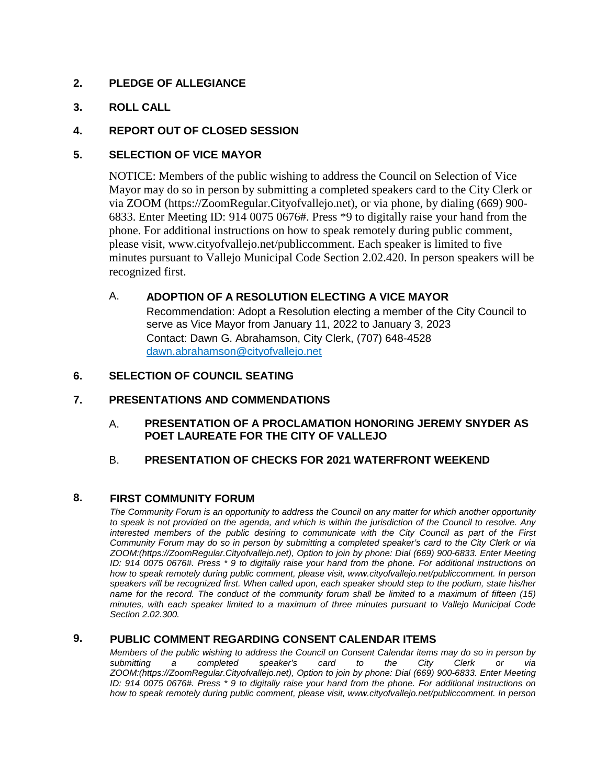## **2. PLEDGE OF ALLEGIANCE**

## **3. ROLL CALL**

## **4. REPORT OUT OF CLOSED SESSION**

## **5. SELECTION OF VICE MAYOR**

NOTICE: Members of the public wishing to address the Council on Selection of Vice Mayor may do so in person by submitting a completed speakers card to the City Clerk or via ZOOM (https://ZoomRegular.Cityofvallejo.net), or via phone, by dialing (669) 900- 6833. Enter Meeting ID: 914 0075 0676#. Press \*9 to digitally raise your hand from the phone. For additional instructions on how to speak remotely during public comment, please visit, www.cityofvallejo.net/publiccomment. Each speaker is limited to five minutes pursuant to Vallejo Municipal Code Section 2.02.420. In person speakers will be recognized first.

## A. **ADOPTION OF A RESOLUTION ELECTING A VICE MAYOR**

Recommendation: Adopt a Resolution electing a member of the City Council to serve as Vice Mayor from January 11, 2022 to January 3, 2023 Contact: Dawn G. Abrahamson, City Clerk, (707) 648-4528 dawn.abrahamson@cityofvallejo.net

## **6. SELECTION OF COUNCIL SEATING**

## **7. PRESENTATIONS AND COMMENDATIONS**

A. **PRESENTATION OF A PROCLAMATION HONORING JEREMY SNYDER AS POET LAUREATE FOR THE CITY OF VALLEJO**

## B. **PRESENTATION OF CHECKS FOR 2021 WATERFRONT WEEKEND**

## **8. FIRST COMMUNITY FORUM**

*The Community Forum is an opportunity to address the Council on any matter for which another opportunity to speak is not provided on the agenda, and which is within the jurisdiction of the Council to resolve. Any interested members of the public desiring to communicate with the City Council as part of the First Community Forum may do so in person by submitting a completed speaker's card to the City Clerk or via ZOOM:(https://ZoomRegular.Cityofvallejo.net), Option to join by phone: Dial (669) 900-6833. Enter Meeting ID: 914 0075 0676#. Press \* 9 to digitally raise your hand from the phone. For additional instructions on how to speak remotely during public comment, please visit, www.cityofvallejo.net/publiccomment. In person speakers will be recognized first. When called upon, each speaker should step to the podium, state his/her name for the record. The conduct of the community forum shall be limited to a maximum of fifteen (15) minutes, with each speaker limited to a maximum of three minutes pursuant to Vallejo Municipal Code Section 2.02.300.* 

### **9. PUBLIC COMMENT REGARDING CONSENT CALENDAR ITEMS**

*Members of the public wishing to address the Council on Consent Calendar items may do so in person by submitting a completed speaker's card to the City Clerk or via ZOOM:(https://ZoomRegular.Cityofvallejo.net), Option to join by phone: Dial (669) 900-6833. Enter Meeting ID: 914 0075 0676#. Press \* 9 to digitally raise your hand from the phone. For additional instructions on how to speak remotely during public comment, please visit, www.cityofvallejo.net/publiccomment. In person*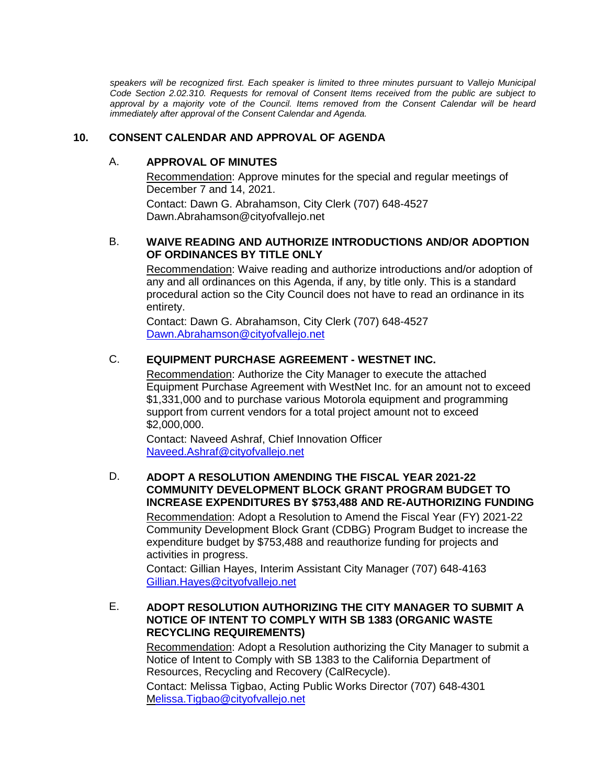speakers will be recognized first. Each speaker is limited to three minutes pursuant to Vallejo Municipal *Code Section 2.02.310. Requests for removal of Consent Items received from the public are subject to approval by a majority vote of the Council. Items removed from the Consent Calendar will be heard immediately after approval of the Consent Calendar and Agenda.*

### **10. CONSENT CALENDAR AND APPROVAL OF AGENDA**

#### A. **APPROVAL OF MINUTES**

Recommendation: Approve minutes for the special and regular meetings of December 7 and 14, 2021.

Contact: Dawn G. Abrahamson, City Clerk (707) 648-4527 Dawn.Abrahamson@cityofvallejo.net

### B. **WAIVE READING AND AUTHORIZE INTRODUCTIONS AND/OR ADOPTION OF ORDINANCES BY TITLE ONLY**

Recommendation: Waive reading and authorize introductions and/or adoption of any and all ordinances on this Agenda, if any, by title only. This is a standard procedural action so the City Council does not have to read an ordinance in its entirety.

Contact: Dawn G. Abrahamson, City Clerk (707) 648-4527 [Dawn.Abrahamson@cityofvallejo.net](mailto:Dawn.Abrahamson@cityofvallejo.net)

## C. **EQUIPMENT PURCHASE AGREEMENT - WESTNET INC.**

Recommendation: Authorize the City Manager to execute the attached Equipment Purchase Agreement with WestNet Inc. for an amount not to exceed \$1,331,000 and to purchase various Motorola equipment and programming support from current vendors for a total project amount not to exceed \$2,000,000.

Contact: Naveed Ashraf, Chief Innovation Officer [Naveed.Ashraf@cityofvallejo.net](mailto:Naveed.Ashraf@cityofvallejo.net)

## D. **ADOPT A RESOLUTION AMENDING THE FISCAL YEAR 2021-22 COMMUNITY DEVELOPMENT BLOCK GRANT PROGRAM BUDGET TO INCREASE EXPENDITURES BY \$753,488 AND RE-AUTHORIZING FUNDING**

Recommendation: Adopt a Resolution to Amend the Fiscal Year (FY) 2021-22 Community Development Block Grant (CDBG) Program Budget to increase the expenditure budget by \$753,488 and reauthorize funding for projects and activities in progress.

Contact: Gillian Hayes, Interim Assistant City Manager (707) 648-4163 [Gillian.Hayes@cityofvallejo.net](mailto:Gillian.Hayes@cityofvallejo.net)

## E. **ADOPT RESOLUTION AUTHORIZING THE CITY MANAGER TO SUBMIT A NOTICE OF INTENT TO COMPLY WITH SB 1383 (ORGANIC WASTE RECYCLING REQUIREMENTS)**

Recommendation: Adopt a Resolution authorizing the City Manager to submit a Notice of Intent to Comply with SB 1383 to the California Department of Resources, Recycling and Recovery (CalRecycle).

Contact: Melissa Tigbao, Acting Public Works Director (707) 648-4301 [Melissa.Tigbao@cityofvallejo.net](mailto:elissa.Tigbao@cityofvallejo.net)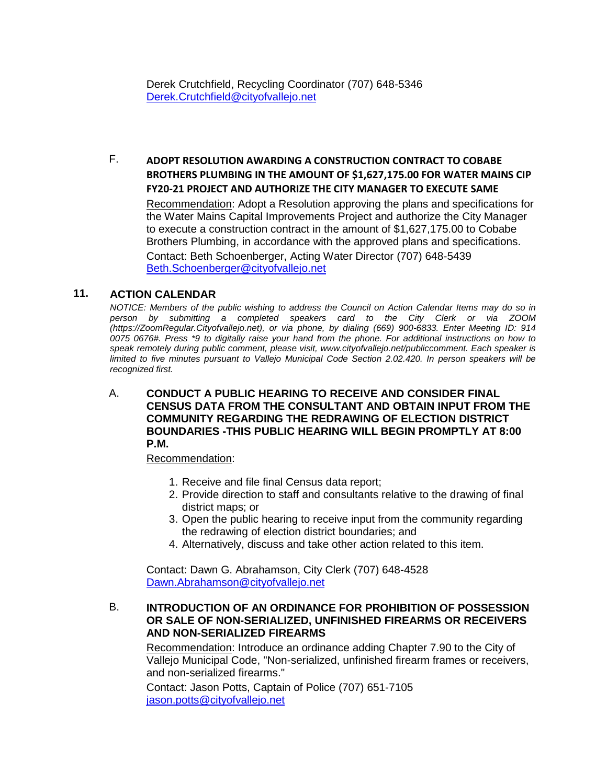Derek Crutchfield, Recycling Coordinator (707) 648-5346 [Derek.Crutchfield@cityofvallejo.net](mailto:Derek.Crutchfield@cityofvallejo.net)

F. **ADOPT RESOLUTION AWARDING A CONSTRUCTION CONTRACT TO COBABE BROTHERS PLUMBING IN THE AMOUNT OF \$1,627,175.00 FOR WATER MAINS CIP FY20-21 PROJECT AND AUTHORIZE THE CITY MANAGER TO EXECUTE SAME**

Recommendation: Adopt a Resolution approving the plans and specifications for the Water Mains Capital Improvements Project and authorize the City Manager to execute a construction contract in the amount of \$1,627,175.00 to Cobabe Brothers Plumbing, in accordance with the approved plans and specifications. Contact: Beth Schoenberger, Acting Water Director (707) 648-5439

[Beth.Schoenberger@cityofvallejo.net](mailto:Beth.Shoenberger@cityofvallejo.net)

#### **11. ACTION CALENDAR**

*NOTICE: Members of the public wishing to address the Council on Action Calendar Items may do so in person by submitting a completed speakers card to the City Clerk or via ZOOM (https://ZoomRegular.Cityofvallejo.net), or via phone, by dialing (669) 900-6833. Enter Meeting ID: 914 0075 0676#. Press \*9 to digitally raise your hand from the phone. For additional instructions on how to speak remotely during public comment, please visit, www.cityofvallejo.net/publiccomment. Each speaker is limited to five minutes pursuant to Vallejo Municipal Code Section 2.02.420. In person speakers will be recognized first.*

A. **CONDUCT A PUBLIC HEARING TO RECEIVE AND CONSIDER FINAL CENSUS DATA FROM THE CONSULTANT AND OBTAIN INPUT FROM THE COMMUNITY REGARDING THE REDRAWING OF ELECTION DISTRICT BOUNDARIES -THIS PUBLIC HEARING WILL BEGIN PROMPTLY AT 8:00 P.M.**

Recommendation:

- 1. Receive and file final Census data report;
- 2. Provide direction to staff and consultants relative to the drawing of final district maps; or
- 3. Open the public hearing to receive input from the community regarding the redrawing of election district boundaries; and
- 4. Alternatively, discuss and take other action related to this item.

Contact: Dawn G. Abrahamson, City Clerk (707) 648-4528 [Dawn.Abrahamson@cityofvallejo.net](mailto:Dawn.Abrahamson@cityofvallejo.net)

### B. **INTRODUCTION OF AN ORDINANCE FOR PROHIBITION OF POSSESSION OR SALE OF NON-SERIALIZED, UNFINISHED FIREARMS OR RECEIVERS AND NON-SERIALIZED FIREARMS**

Recommendation: Introduce an ordinance adding Chapter 7.90 to the City of Vallejo Municipal Code, "Non-serialized, unfinished firearm frames or receivers, and non-serialized firearms."

Contact: Jason Potts, Captain of Police (707) 651-7105 [jason.potts@cityofvallejo.net](mailto:jason.potts@cityofvallejo.net)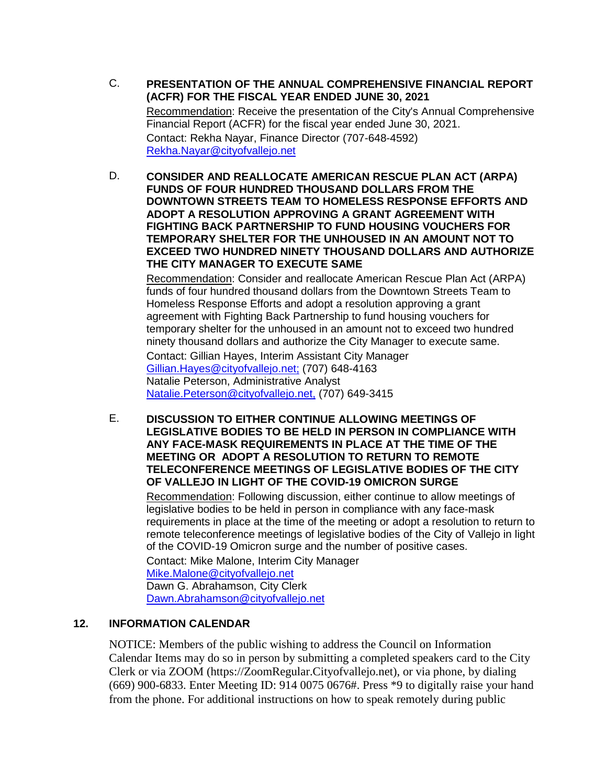C. **PRESENTATION OF THE ANNUAL COMPREHENSIVE FINANCIAL REPORT (ACFR) FOR THE FISCAL YEAR ENDED JUNE 30, 2021**

Recommendation: Receive the presentation of the City's Annual Comprehensive Financial Report (ACFR) for the fiscal year ended June 30, 2021. Contact: Rekha Nayar, Finance Director (707-648-4592) [Rekha.Nayar@cityofvallejo.net](mailto:Rekha.Nayar@cityofvallejo.net)

D. **CONSIDER AND REALLOCATE AMERICAN RESCUE PLAN ACT (ARPA) FUNDS OF FOUR HUNDRED THOUSAND DOLLARS FROM THE DOWNTOWN STREETS TEAM TO HOMELESS RESPONSE EFFORTS AND ADOPT A RESOLUTION APPROVING A GRANT AGREEMENT WITH FIGHTING BACK PARTNERSHIP TO FUND HOUSING VOUCHERS FOR TEMPORARY SHELTER FOR THE UNHOUSED IN AN AMOUNT NOT TO EXCEED TWO HUNDRED NINETY THOUSAND DOLLARS AND AUTHORIZE THE CITY MANAGER TO EXECUTE SAME**

Recommendation: Consider and reallocate American Rescue Plan Act (ARPA) funds of four hundred thousand dollars from the Downtown Streets Team to Homeless Response Efforts and adopt a resolution approving a grant agreement with Fighting Back Partnership to fund housing vouchers for temporary shelter for the unhoused in an amount not to exceed two hundred ninety thousand dollars and authorize the City Manager to execute same.

Contact: Gillian Hayes, Interim Assistant City Manager [Gillian.Hayes@cityofvallejo.net;](mailto:Gillian.Hayes@cityofvallejo.net;) (707) 648-4163 Natalie Peterson, Administrative Analyst [Natalie.Peterson@cityofvallejo.net,](mailto:Natalie.Peterson@cityofvallejo.net,) (707) 649-3415

E. **DISCUSSION TO EITHER CONTINUE ALLOWING MEETINGS OF LEGISLATIVE BODIES TO BE HELD IN PERSON IN COMPLIANCE WITH ANY FACE-MASK REQUIREMENTS IN PLACE AT THE TIME OF THE MEETING OR ADOPT A RESOLUTION TO RETURN TO REMOTE TELECONFERENCE MEETINGS OF LEGISLATIVE BODIES OF THE CITY OF VALLEJO IN LIGHT OF THE COVID-19 OMICRON SURGE**

Recommendation: Following discussion, either continue to allow meetings of legislative bodies to be held in person in compliance with any face-mask requirements in place at the time of the meeting or adopt a resolution to return to remote teleconference meetings of legislative bodies of the City of Vallejo in light of the COVID-19 Omicron surge and the number of positive cases.

Contact: Mike Malone, Interim City Manager [Mike.Malone@cityofvallejo.net](mailto:Mike.Malone@cityofvallejo.net) Dawn G. Abrahamson, City Clerk [Dawn.Abrahamson@cityofvallejo.net](mailto:Dawn.Abrahamson@cityofvallejo.net)

## **12. INFORMATION CALENDAR**

NOTICE: Members of the public wishing to address the Council on Information Calendar Items may do so in person by submitting a completed speakers card to the City Clerk or via ZOOM (https://ZoomRegular.Cityofvallejo.net), or via phone, by dialing (669) 900-6833. Enter Meeting ID: 914 0075 0676#. Press \*9 to digitally raise your hand from the phone. For additional instructions on how to speak remotely during public